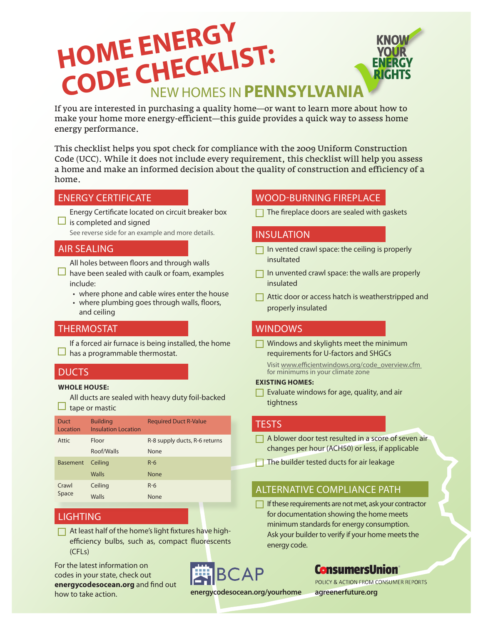# **HOME ENERGY CODE CHECKLIST:**<br>CODE CHECKLIST:

If you are interested in purchasing a quality home—or want to learn more about how to make your home more energy-efficient—this guide provides a quick way to assess home energy performance.

This checklist helps you spot check for compliance with the 2009 Uniform Construction Code (UCC). While it does not include every requirement, this checklist will help you assess a home and make an informed decision about the quality of construction and efficiency of a home.

Energy Certificate located on circuit breaker box  $\Box$  is completed and signed

See reverse side for an example and more details.

#### AIR SEALING

All holes between floors and through walls  $\Box$  have been sealed with caulk or foam, examples include:

- where phone and cable wires enter the house
- where plumbing goes through walls, floors, and ceiling

#### THERMOSTAT

If a forced air furnace is being installed, the home  $\Box$  has a programmable thermostat.

#### **DUCTS**

#### **WHOLE HOUSE:**

All ducts are sealed with heavy duty foil-backed  $\Box$  tape or mastic

| Duct<br>Location | <b>Building</b><br><b>Insulation Location</b> | <b>Required Duct R-Value</b>  |
|------------------|-----------------------------------------------|-------------------------------|
| Attic            | Floor                                         | R-8 supply ducts, R-6 returns |
|                  | Roof/Walls                                    | None                          |
| <b>Basement</b>  | Ceiling                                       | $R-6$                         |
|                  | Walls                                         | <b>None</b>                   |
| Crawl<br>Space   | Ceiling                                       | $R-6$                         |
|                  | Walls                                         | None                          |

### LIGHTING

 $\Box$  At least half of the home's light fixtures have highefficiency bulbs, such as, compact fluorescents (CFLs)

For the latest information on codes in your state, check out **energycodesocean.org** and find out how to take action.

**BCAP** 

ENERGY CERTIFICATE WOOD-BURNING FIREPLACE

 $\Box$  The fireplace doors are sealed with gaskets

#### INSULATION

- $\Box$  In vented crawl space: the ceiling is properly insultated
- $\Box$  In unvented crawl space: the walls are properly insulated
- $\Box$  Attic door or access hatch is weatherstripped and properly insulated

#### WINDOWS

 $\Box$  Windows and skylights meet the minimum requirements for U-factors and SHGCs

Visit www.efficientwindows.org/code\_overview.cfm for minimums in your climate zone

#### **EXISTING HOMES:**

 $\Box$  Evaluate windows for age, quality, and air tightness

#### **TESTS**

- A blower door test resulted in a score of seven air changes per hour (ACH50) or less, if applicable
- The builder tested ducts for air leakage

#### ALTERNATIVE COMPLIANCE PATH

 $\Box$  If these requirements are not met, ask your contractor for documentation showing the home meets minimum standards for energy consumption. Ask your builder to verify if your home meets the energy code.

### **ConsumersUnion**

POLICY & ACTION FROM CONSUMER REPORTS

**energycodesocean.org/yourhome agreenerfuture.org**